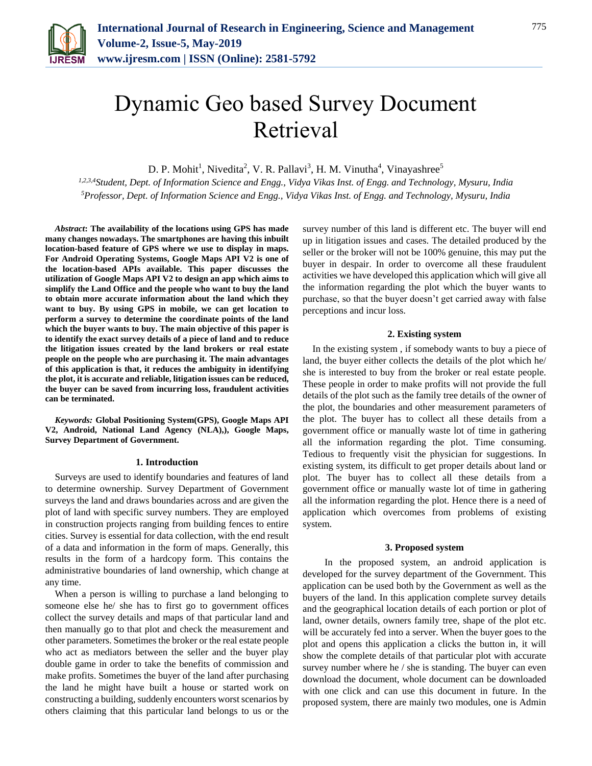

# Dynamic Geo based Survey Document Retrieval

D. P. Mohit<sup>1</sup>, Nivedita<sup>2</sup>, V. R. Pallavi<sup>3</sup>, H. M. Vinutha<sup>4</sup>, Vinayashree<sup>5</sup>

*1,2,3,4Student, Dept. of Information Science and Engg., Vidya Vikas Inst. of Engg. and Technology, Mysuru, India 5Professor, Dept. of Information Science and Engg., Vidya Vikas Inst. of Engg. and Technology, Mysuru, India*

*Abstract***: The availability of the locations using GPS has made many changes nowadays. The smartphones are having this inbuilt location-based feature of GPS where we use to display in maps. For Android Operating Systems, Google Maps API V2 is one of the location-based APIs available. This paper discusses the utilization of Google Maps API V2 to design an app which aims to simplify the Land Office and the people who want to buy the land to obtain more accurate information about the land which they want to buy. By using GPS in mobile, we can get location to perform a survey to determine the coordinate points of the land which the buyer wants to buy. The main objective of this paper is to identify the exact survey details of a piece of land and to reduce the litigation issues created by the land brokers or real estate people on the people who are purchasing it. The main advantages of this application is that, it reduces the ambiguity in identifying the plot, it is accurate and reliable, litigation issues can be reduced, the buyer can be saved from incurring loss, fraudulent activities can be terminated.**

*Keywords:* **Global Positioning System(GPS), Google Maps API V2, Android, National Land Agency (NLA),), Google Maps, Survey Department of Government.**

# **1. Introduction**

Surveys are used to identify boundaries and features of land to determine ownership. Survey Department of Government surveys the land and draws boundaries across and are given the plot of land with specific survey numbers. They are employed in construction projects ranging from building fences to entire cities. Survey is essential for data collection, with the end result of a data and information in the form of maps. Generally, this results in the form of a hardcopy form. This contains the administrative boundaries of land ownership, which change at any time.

When a person is willing to purchase a land belonging to someone else he/ she has to first go to government offices collect the survey details and maps of that particular land and then manually go to that plot and check the measurement and other parameters. Sometimes the broker or the real estate people who act as mediators between the seller and the buyer play double game in order to take the benefits of commission and make profits. Sometimes the buyer of the land after purchasing the land he might have built a house or started work on constructing a building, suddenly encounters worst scenarios by others claiming that this particular land belongs to us or the

survey number of this land is different etc. The buyer will end up in litigation issues and cases. The detailed produced by the seller or the broker will not be 100% genuine, this may put the buyer in despair. In order to overcome all these fraudulent activities we have developed this application which will give all the information regarding the plot which the buyer wants to purchase, so that the buyer doesn't get carried away with false perceptions and incur loss.

# **2. Existing system**

In the existing system , if somebody wants to buy a piece of land, the buyer either collects the details of the plot which he/ she is interested to buy from the broker or real estate people. These people in order to make profits will not provide the full details of the plot such as the family tree details of the owner of the plot, the boundaries and other measurement parameters of the plot. The buyer has to collect all these details from a government office or manually waste lot of time in gathering all the information regarding the plot. Time consuming. Tedious to frequently visit the physician for suggestions. In existing system, its difficult to get proper details about land or plot. The buyer has to collect all these details from a government office or manually waste lot of time in gathering all the information regarding the plot. Hence there is a need of application which overcomes from problems of existing system.

### **3. Proposed system**

 In the proposed system, an android application is developed for the survey department of the Government. This application can be used both by the Government as well as the buyers of the land. In this application complete survey details and the geographical location details of each portion or plot of land, owner details, owners family tree, shape of the plot etc. will be accurately fed into a server. When the buyer goes to the plot and opens this application a clicks the button in, it will show the complete details of that particular plot with accurate survey number where he / she is standing. The buyer can even download the document, whole document can be downloaded with one click and can use this document in future. In the proposed system, there are mainly two modules, one is Admin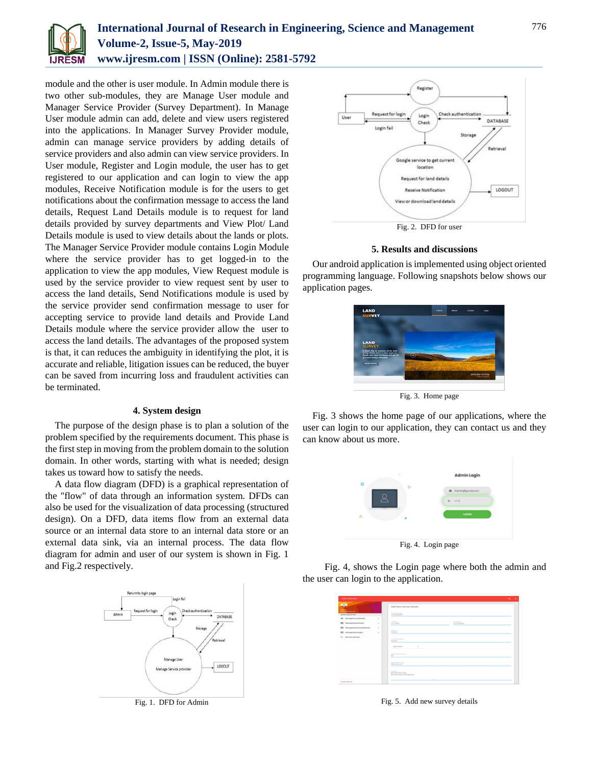

# **International Journal of Research in Engineering, Science and Management Volume-2, Issue-5, May-2019 www.ijresm.com | ISSN (Online): 2581-5792**

module and the other is user module. In Admin module there is two other sub-modules, they are Manage User module and Manager Service Provider (Survey Department). In Manage User module admin can add, delete and view users registered into the applications. In Manager Survey Provider module, admin can manage service providers by adding details of service providers and also admin can view service providers. In User module, Register and Login module, the user has to get registered to our application and can login to view the app modules, Receive Notification module is for the users to get notifications about the confirmation message to access the land details, Request Land Details module is to request for land details provided by survey departments and View Plot/ Land Details module is used to view details about the lands or plots. The Manager Service Provider module contains Login Module where the service provider has to get logged-in to the application to view the app modules, View Request module is used by the service provider to view request sent by user to access the land details, Send Notifications module is used by the service provider send confirmation message to user for accepting service to provide land details and Provide Land Details module where the service provider allow the user to access the land details. The advantages of the proposed system is that, it can reduces the ambiguity in identifying the plot, it is accurate and reliable, litigation issues can be reduced, the buyer can be saved from incurring loss and fraudulent activities can be terminated.

#### **4. System design**

The purpose of the design phase is to plan a solution of the problem specified by the requirements document. This phase is the first step in moving from the problem domain to the solution domain. In other words, starting with what is needed; design takes us toward how to satisfy the needs.

A data flow diagram (DFD) is a graphical representation of the "flow" of data through an information system. DFDs can also be used for the visualization of data processing (structured design). On a DFD, data items flow from an external data source or an internal data store to an internal data store or an external data sink, via an internal process. The data flow diagram for admin and user of our system is shown in Fig. 1 and Fig.2 respectively.



Fig. 1. DFD for Admin



# **5. Results and discussions**

Our android application is implemented using object oriented programming language. Following snapshots below shows our application pages.



Fig. 3. Home page

Fig. 3 shows the home page of our applications, where the user can login to our application, they can contact us and they can know about us more.



Fig. 4. Login page

 Fig. 4, shows the Login page where both the admin and the user can login to the application.

| Administrator                                                                                                                                                                        |                                      |                                                                                                                                                                                                                                                                                                                                                                   |                                               | ×. |
|--------------------------------------------------------------------------------------------------------------------------------------------------------------------------------------|--------------------------------------|-------------------------------------------------------------------------------------------------------------------------------------------------------------------------------------------------------------------------------------------------------------------------------------------------------------------------------------------------------------------|-----------------------------------------------|----|
| <b>Address</b><br><b><i><u>STERN COMPANY</u></i></b><br><b>BERGE BANKING TION</b>                                                                                                    |                                      | Aukš Aleve Staryey Deltaile<br><b>Service Science</b><br><b><i><u>A CARD COMPANY</u></i></b>                                                                                                                                                                                                                                                                      |                                               |    |
| We Managelius outstands<br>Managehupsrinshahe<br>$\overline{\phantom{a}}$<br>EB teamptowerfundationals<br>EB Managementsuppo<br>$\mathcal{C}_{\mathcal{H}}$<br><b>Browns Nurseys</b> | $\sim$<br>$\sim$<br>$\sim$<br>$\sim$ | ----<br><b>Service</b><br><b>Advertising</b><br><b>Texture</b><br><b>Silver Street</b><br>--<br>This issue basis<br><b>SHOWER</b><br>---<br>$\alpha$<br><b><i>DATES</i></b><br>__<br><b>TELEVISION CONTROL</b><br>$\overline{a}$<br>-<br><b>Road of the Ford</b><br><b>DETA-SIX-13</b><br>-<br><b>ARRESTS</b><br><b>ASTAN CHARLES</b><br>Renaultantian Average of | <b>Service Address</b><br>to insurer<br>ستردد |    |
| <b><i>Shower Survey</i></b>                                                                                                                                                          |                                      | ٠                                                                                                                                                                                                                                                                                                                                                                 |                                               |    |

Fig. 5. Add new survey details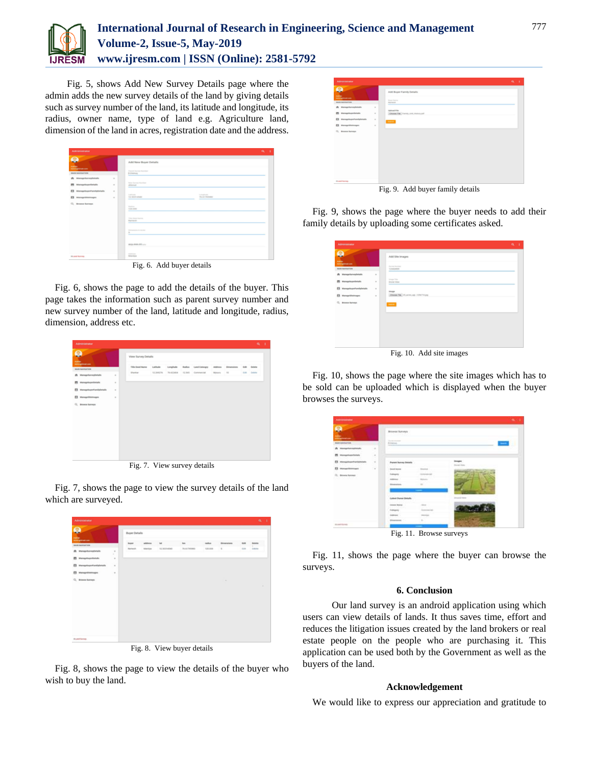

# **International Journal of Research in Engineering, Science and Management Volume-2, Issue-5, May-2019 www.ijresm.com | ISSN (Online): 2581-5792**

 Fig. 5, shows Add New Survey Details page where the admin adds the new survey details of the land by giving details such as survey number of the land, its latitude and longitude, its radius, owner name, type of land e.g. Agriculture land, dimension of the land in acres, registration date and the address.

| Administrator                                                 |          |                                                                                                                            |                                    | $\alpha$<br>٠ |
|---------------------------------------------------------------|----------|----------------------------------------------------------------------------------------------------------------------------|------------------------------------|---------------|
| Q<br><b>SAMPLE</b><br><b><i><u>Advisory Great com</u></i></b> |          | Add New Buyer Details                                                                                                      |                                    |               |
| <b>MAIN NAVIGATION</b>                                        |          | Present four excitations.<br><b>Billdoor</b>                                                                               |                                    |               |
| A throughbroadtetals                                          | $\alpha$ |                                                                                                                            |                                    |               |
| <b>IRI</b> Internaprincare Geriada                            | $\sim$   | <b>The Service Service</b><br>430444<br>--                                                                                 |                                    |               |
| 63<br>Managelingen Pannhyllerhalle                            | $\alpha$ |                                                                                                                            |                                    |               |
| 63<br><b>Bristops Massages</b>                                | $\sim$   | Latitude<br><b>SI BOY-EMI</b><br>-                                                                                         | <b>School Cold</b><br>T6-4179-5680 |               |
| C), Morena Humman                                             |          | <b>The American</b><br><b>Wild more</b>                                                                                    |                                    |               |
|                                                               |          | -<br>The fourth and                                                                                                        |                                    |               |
|                                                               |          | Ramerin<br>-                                                                                                               |                                    |               |
|                                                               |          | <b>Personal Property</b><br>$\frac{1}{2} \left( \frac{1}{2} \right) \left( \frac{1}{2} \right) \left( \frac{1}{2} \right)$ |                                    |               |
|                                                               |          | week show different                                                                                                        |                                    |               |
| <b>Bluest forces.</b>                                         |          | <b>Holten</b><br>Mandas                                                                                                    |                                    |               |
|                                                               |          | Fig. 6. Add buyer details                                                                                                  |                                    |               |

Fig. 6, shows the page to add the details of the buyer. This page takes the information such as parent survey number and new survey number of the land, latitude and longitude, radius, dimension, address etc.

| Administrator                               |          |                         |                   |                 |                                |        |                    | $Q_2 = 1$          |  |
|---------------------------------------------|----------|-------------------------|-------------------|-----------------|--------------------------------|--------|--------------------|--------------------|--|
| 0<br><b>Address</b>                         |          | View Survey Details     |                   |                 |                                |        |                    |                    |  |
| <b>Addisgloom</b><br><b>MAIN NAVIGATION</b> |          | <b>Title Steel Name</b> | Latitude          |                 | Longitude Ballus Land Catergra |        | Address Dimensions | \$35 Dalpha        |  |
| # Managelianes/brists                       | ٠        | <b>Usedar</b>           | <b>KI DANCING</b> | <b>TANZININ</b> | 12,349 Commercial              | Motors | $^{16}$            | <b>Ball Delate</b> |  |
| <b>M</b> Manageboard-rock                   | ٠        |                         |                   |                 |                                |        |                    |                    |  |
| E3 ManagelhoperFamilyDetails                | $\alpha$ |                         |                   |                 |                                |        |                    |                    |  |
| El Managelihotnages                         | $\alpha$ |                         |                   |                 |                                |        |                    |                    |  |
| Q. Browns burneys                           |          |                         |                   |                 |                                |        |                    |                    |  |
|                                             |          |                         |                   |                 |                                |        |                    |                    |  |
|                                             |          |                         |                   |                 |                                |        |                    |                    |  |
|                                             |          |                         |                   |                 |                                |        |                    |                    |  |
|                                             |          |                         |                   |                 |                                |        |                    |                    |  |
|                                             |          |                         |                   |                 |                                |        |                    |                    |  |
|                                             |          |                         |                   |                 |                                |        |                    |                    |  |
|                                             |          |                         |                   |                 |                                |        |                    |                    |  |
|                                             |          |                         |                   |                 |                                |        |                    |                    |  |

Fig. 7. View survey details

Fig. 7, shows the page to view the survey details of the land which are surveyed.



Fig. 8, shows the page to view the details of the buyer who wish to buy the land.

| Administrator                                                |                                                                  | $\bullet$ |
|--------------------------------------------------------------|------------------------------------------------------------------|-----------|
| œ<br><b>Address</b><br><b><i><u>AMERICAN COMPANY</u></i></b> | Add Buyer Family Details                                         |           |
| <b>BEAR RAPRATION</b>                                        | <b>Book Starter</b><br><b>The French</b><br>ــ                   |           |
| de Managettanophotats                                        | ٠                                                                |           |
| <b>PS</b> Managehoperbehals                                  | <b>Indicad File</b><br>Choose Fax: Family, Link History (d)<br>٠ |           |
| E3 Managetheant-analysischafts                               | $\sim$<br><b>School</b>                                          |           |
| EB ManageMinimages                                           | $\alpha$                                                         |           |
| C. Browne Barrenas                                           |                                                                  |           |
|                                                              |                                                                  |           |
|                                                              |                                                                  |           |
|                                                              |                                                                  |           |
|                                                              |                                                                  |           |
|                                                              |                                                                  |           |
|                                                              |                                                                  |           |
|                                                              |                                                                  |           |
|                                                              |                                                                  |           |
|                                                              |                                                                  |           |
| <b>Stuart National</b>                                       |                                                                  |           |
|                                                              |                                                                  |           |
|                                                              | Fig. 9. Add buyer family details                                 |           |

Fig. 9, shows the page where the buyer needs to add their family details by uploading some certificates asked.

| Administrator                      |          |                                        | $\alpha - i$ |  |
|------------------------------------|----------|----------------------------------------|--------------|--|
| ⊝<br>-<br>Address:<br>Ammarination |          | Add Site Images<br>Senior Northern     |              |  |
| <b>BANKAPG/VIN</b>                 |          | 12540HDL<br>__                         |              |  |
| # ManagetheneyDetails              | ò.       |                                        |              |  |
| <b>El</b> Manageboyettetals        | $\sim$   | Image Title<br><b>Bronz View</b><br>⋍  |              |  |
| E3 Manageburght and plotals        | $\alpha$ | Image                                  |              |  |
| El Managelihatenages               | $\sim$   | Choose Fax: 10, acres, apr. 1254714.pg |              |  |
| C. Browse bureaux                  |          | <b>SALES</b>                           |              |  |
|                                    |          |                                        |              |  |

Fig. 10. Add site images

Fig. 10, shows the page where the site images which has to be sold can be uploaded which is displayed when the buyer browses the surveys.

| Advertising           |        |                                          |                   | $0.7 - 1$ |
|-----------------------|--------|------------------------------------------|-------------------|-----------|
|                       |        | <b>Browse Surveys</b>                    |                   |           |
| <b>BASE AMERICANS</b> |        | <b>Parties women</b><br><b>Billiaria</b> |                   |           |
| <b>ALCOHOL: NO</b>    | ٠      |                                          |                   |           |
|                       | $\sim$ |                                          |                   |           |
|                       | $\sim$ | Paint Sevey bitals                       |                   |           |
|                       | ٠      | <b>Except Server</b>                     |                   |           |
| CL: Browne flurence   |        |                                          |                   |           |
|                       |        |                                          |                   |           |
|                       |        |                                          |                   |           |
|                       |        | Latinsk Discour Datable                  | property interest |           |
|                       |        |                                          |                   |           |
|                       |        |                                          |                   |           |
|                       |        |                                          |                   |           |
|                       |        |                                          |                   |           |
| <b>Brand Barnes</b>   |        |                                          |                   |           |

Fig. 11, shows the page where the buyer can browse the surveys.

# **6. Conclusion**

 Our land survey is an android application using which users can view details of lands. It thus saves time, effort and reduces the litigation issues created by the land brokers or real estate people on the people who are purchasing it. This application can be used both by the Government as well as the buyers of the land.

# **Acknowledgement**

We would like to express our appreciation and gratitude to